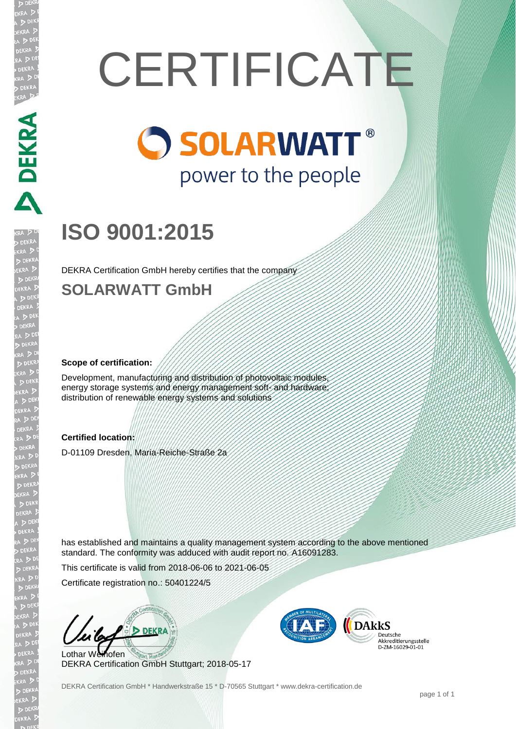# **CERTIFICATE**

# **O SOLARWATT®** power to the people

# **ISO 9001:2015**

DEKRA Certification GmbH hereby certifies that the company

## **SOLARWATT GmbH**

### **Scope of certification:**

Development, manufacturing and distribution of photovoltaic modules energy storage systems and energy management soft- and hardware distribution of renewable energy systems and solutions

### **Certified location:**

D-01109 Dresden, Maria-Reiche-Straße 2a

has established and maintains a quality management system according to the above mentioned standard. The conformity was adduced with audit report no. A16091283.

This certificate is valid from 2018-06-06 to 2021-06-05

Certificate registration no.: 50401224/5

Lothar Weihofen DEKRA Certification GmbH Stuttgart; 2018-05-17



Akkreditierungsstelle<br>D-ZM-16029-01-01

DEKRA Certification GmbH \* Handwerkstraße 15 \* D-70565 Stuttgart \* www.dekra-certification.de